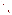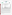## **THE ENVIRONMENTAL TECHNOLOGY VERIFICATION**







# **ETV Joint Verification Statement**

| <b>TECHNOLOGY TYPE: Continuous Ambient Mass Monitor</b> |                                                                 |                             |
|---------------------------------------------------------|-----------------------------------------------------------------|-----------------------------|
| <b>APPLICATION:</b>                                     | <b>MEASURING FINE PARTICULATE MASS IN</b><br><b>AMBIENT AIR</b> |                             |
| <b>TECHNOLOGY</b>                                       |                                                                 |                             |
| <b>NAME:</b>                                            | <b>Continuous Ambient Mass Monitor</b>                          |                             |
| <b>COMPANY:</b>                                         | <b>Thermo Andersen</b>                                          |                             |
| <b>ADDRESS:</b>                                         | <b>500 Technology Court</b>                                     | PHONE: 800-241-6898         |
|                                                         | <b>Smyrna, GA 30082</b>                                         | 770-319-9999<br><b>FAX:</b> |
| <b>WEB SITE:</b>                                        | http://www.AndersenInstruments.com                              |                             |
| $E\text{-}MAIL:$                                        | sales@AndersenInstruments.com                                   |                             |

The U.S. Environmental Protection Agency (EPA) has created the Environmental Technology Verification (ETV) Program to facilitate the deployment of innovative or improved environmental technologies through performance verification and dissemination of information. The goal of the ETV Program is to further environmental protection by substantially accelerating the acceptance and use of improved and cost-effective technologies. ETV seeks to achieve this goal by providing high-quality, peer-reviewed data on technology performance to those involved in the design, distribution, financing, permitting, purchase, and use of environmental technologies.

ETV works in partnership with recognized standards and testing organizations; with stakeholder groups that consist of buyers, vendor organizations, and permitters; and with the full participation of individual technology developers. The program evaluates the performance of innovative technologies by developing test plans that are responsive to the needs of stakeholders, conducting field or laboratory tests (as appropriate), collecting and analyzing data, and preparing peer-reviewed reports. All evaluations are conducted in accordance with rigorous quality assurance protocols to ensure that data of known and adequate quality are generated and that the results are defensible.

The Advanced Monitoring Systems (AMS) Center, one of six technology centers under ETV, is operated by Battelle in cooperation with EPA's National Exposure Research Laboratory. The AMS Center has recently evaluated the performance of continuous monitors used to measure fine particulate mass and species in ambient air. This verification statement provides a summary of the test results for the Thermo Andersen continuous ambient mass monitor (CAMM).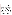### **VERIFICATION TEST DESCRIPTION**

The objective of this verification test is to provide quantitative performance data on continuous fine particle monitors under a range of realistic operating conditions. To meet this objective, field testing was conducted in two phases in geographically distinct regions of the United States during different seasons of the year. The first phase of field testing was conducted at the ambient air monitoring station on the Department of Energy's National Energy Technology Laboratory campus in Pittsburgh, PA, from August 1 to September 1, 2000. The second phase of testing was performed at the California Air Resources Board's ambient air monitoring station in Fresno, CA, from December 18, 2000, to January 17, 2001. Specific performance characteristics verified in this test include inter-unit precision, accuracy and correlation relative to time-integrated reference methods, effect of meteorological conditions, influence of precursor gases, and short-term monitoring capabilities. The CAMM reports measurement results in terms of  $PM<sub>2.5</sub>$  mass and, therefore, was compared with the federal reference method (FRM) for  $PM<sub>2.5</sub>$  mass determination. Additionally, comparisons with a variety of supplemental measurements were made to establish specific performance characteristics.

Quality assurance (QA) oversight of verification testing was provided by Battelle and EPA. Battelle QA staff conducted a data quality audit of 10% of the test data, and performance evaluation audits were conducted on the FRM samplers used in the verification test. Battelle QA staff conducted an internal technical system audit for Phase I and Phase II. EPA QA staff conducted an external technical systems audit during Phase II.

#### **TECHNOLOGY DESCRIPTION**

The CAMM is a continuous ambient air monitor that determines fine particulate mass by measuring the increase in pressure drop across a membrane filter during particle sampling. The CAMM reports  $PM_{2.5}$  concentrations in micrograms per cubic meter of air  $(\mu g/m^3)$ . A new section of filter tape is exposed every measurement period, allowing particles to remain in or close to equilibrium with the sample air during collection. The CAMM measures at ambient temperature to minimize losses due to volatilization and has a short sampling duration and low face velocity to reduce sampling artifacts. The CAMM consists of a conventional FRM PM<sub>10</sub> inlet, a PM<sub>2.5</sub> Sharp Cut Cyclone, a diffusion dryer, a filter tape, a tape transfer mechanism, and a data acquisition and control unit. Fine particle monitoring is accomplished by a filter tape transport system and an array of pressure transducers. The monitoring system includes a microprocessor-controlled drive to advance the tape and a mechanism to release and reseal the filter tape during each advance. Automatic filter changes and enclosure design both support sample equilibration with ambient conditions and optimize the reduction of sampling artifacts. Sensor calibrations are stored via internal memory. Built-in diagnostic features, analog outputs, and instrument interfaces provide the user with advanced quality control features through local or remote access.

## **VERIFICATION OF PERFORMANCE**

**Inter-Unit Precision:** Only one of the duplicate CAMMs provided usable data during Phase I. The second unit had a leak in the sampling system, and the collected data were invalidated. Consequently, no measure of inter-unit precision is available for Phase I. During Phase II, regression analysis showed  $r^2$  values of 0.918 and 0.930, respectively, for the hourly data and the 24-hour averages from the duplicate monitors. The slopes of the regression lines were 0.903 (0.024 95% confidence interval) and 0.774 (0.086), respectively, for the hourly data and 24-hour averages, indicating a statistically significant difference between the duplicate CAMMs. The intercepts were 5.8 (2.8)  $\mu$ g/m<sup>3</sup> and 16.1 (9.9)  $\mu$ g/m<sup>3</sup>, respectively. The calculated coefficient of variation (CV) for the hourly data was 17.2% and for the 24-hour averages, the CV was 13.8%.

**Comparability/Predictability:** During Phase I, comparisons of the 24-hour averages with PM<sub>2.5</sub> FRM results showed a slope of the regression line for Monitor 1 of 0.45 (0.26) and an intercept of 13.5 (5.4)  $\mu$ g/m<sup>3</sup>. The regression results show an  $r^2$  value of 0.386. During Phase II, comparison of the 24-hour averages with  $PM_{2.5}$ FRM results showed slopes of the regression lines for Monitor 1 and Monitor 2 of 1.46 (0.30) and 1.20 (0.22),